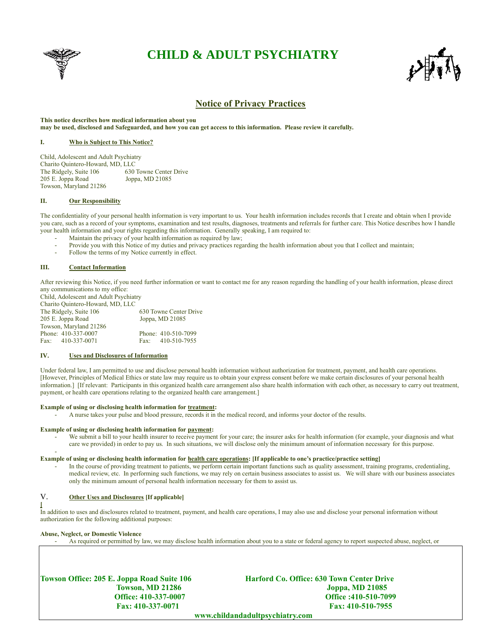

# **CHILD & ADULT PSYCHIATRY**



# **Notice of Privacy Practices**

**This notice describes how medical information about you may be used, disclosed and Safeguarded, and how you can get access to this information. Please review it carefully.**

## **I. Who is Subject to This Notice?**

Child, Adolescent and Adult Psychiatry Charito Quintero-Howard, MD, LLC The Ridgely, Suite 106 205 E. Joppa Road Joppa, MD 21085 Towson, Maryland 21286

# **II. Our Responsibility**

The confidentiality of your personal health information is very important to us. Your health information includes records that I create and obtain when I provide you care, such as a record of your symptoms, examination and test results, diagnoses, treatments and referrals for further care. This Notice describes how I handle your health information and your rights regarding this information. Generally speaking, I am required to:

- Maintain the privacy of your health information as required by law;
- Provide you with this Notice of my duties and privacy practices regarding the health information about you that I collect and maintain;
- Follow the terms of my Notice currently in effect.

# **III. Contact Information**

After reviewing this Notice, if you need further information or want to contact me for any reason regarding the handling of your health information, please direct any communications to my office:

Child, Adolescent and Adult Psychiatry Charito Quintero-Howard, MD, LLC The Ridgely, Suite 106 630 Towne Center Drive 205 E. Joppa Road Joppa, MD 21085 Towson, Maryland 21286 Phone: 410-510-7099 Fax: 410-337-0071 Fax: 410-510-7955

# **IV. Uses and Disclosures of Information**

Under federal law, I am permitted to use and disclose personal health information without authorization for treatment, payment, and health care operations. [However, Principles of Medical Ethics or state law may require us to obtain your express consent before we make certain disclosures of your personal health information.] [If relevant: Participants in this organized health care arrangement also share health information with each other, as necessary to carry out treatment, payment, or health care operations relating to the organized health care arrangement.]

#### **Example of using or disclosing health information for treatment:**

- A nurse takes your pulse and blood pressure, records it in the medical record, and informs your doctor of the results.

# **Example of using or disclosing health information for payment:**

We submit a bill to your health insurer to receive payment for your care; the insurer asks for health information (for example, your diagnosis and what care we provided) in order to pay us. In such situations, we will disclose only the minimum amount of information necessary for this purpose.

#### **Example of using or disclosing health information for health care operations: [If applicable to one's practice/practice setting]**

In the course of providing treatment to patients, we perform certain important functions such as quality assessment, training programs, credentialing, medical review, etc. In performing such functions, we may rely on certain business associates to assist us. We will share with our business associates only the minimum amount of personal health information necessary for them to assist us.

# V. **Other Uses and Disclosures [If applicable]**

**[** In addition to uses and disclosures related to treatment, payment, and health care operations, I may also use and disclose your personal information without authorization for the following additional purposes:

#### **Abuse, Neglect, or Domestic Violence**

-

- As required or permitted by law, we may disclose health information about you to a state or federal agency to report suspected abuse, neglect, or

**Towson Office: 205 E. Joppa Road Suite 106 Harford Co. Office: 630 Town Center Drive** 

**Towson, MD 21286 Joppa, MD 21085 Office: 410-337-0007 Office :410-510-7099 Fax: 410-337-0071 Fax: 410-510-7955**

 **www.childandadultpsychiatry.com**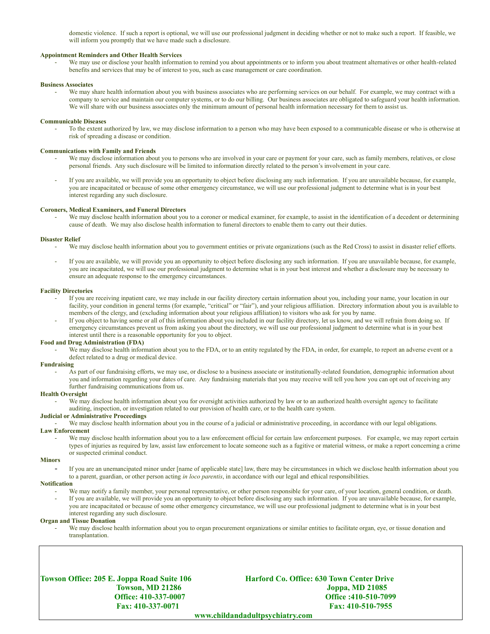domestic violence. If such a report is optional, we will use our professional judgment in deciding whether or not to make such a report. If feasible, we will inform you promptly that we have made such a disclosure.

#### **Appointment Reminders and Other Health Services**

We may use or disclose your health information to remind you about appointments or to inform you about treatment alternatives or other health-related benefits and services that may be of interest to you, such as case management or care coordination.

#### **Business Associates**

We may share health information about you with business associates who are performing services on our behalf. For example, we may contract with a company to service and maintain our computer systems, or to do our billing. Our business associates are obligated to safeguard your health information. We will share with our business associates only the minimum amount of personal health information necessary for them to assist us.

#### **Communicable Diseases**

To the extent authorized by law, we may disclose information to a person who may have been exposed to a communicable disease or who is otherwise at risk of spreading a disease or condition.

#### **Communications with Family and Friends**

- We may disclose information about you to persons who are involved in your care or payment for your care, such as family members, relatives, or close personal friends. Any such disclosure will be limited to information directly related to the person's involvement in your care.
- If you are available, we will provide you an opportunity to object before disclosing any such information. If you are unavailable because, for example, you are incapacitated or because of some other emergency circumstance, we will use our professional judgment to determine what is in your best interest regarding any such disclosure.

#### **Coroners, Medical Examiners, and Funeral Directors**

We may disclose health information about you to a coroner or medical examiner, for example, to assist in the identification of a decedent or determining cause of death. We may also disclose health information to funeral directors to enable them to carry out their duties.

#### **Disaster Relief**

- We may disclose health information about you to government entities or private organizations (such as the Red Cross) to assist in disaster relief efforts.
- If you are available, we will provide you an opportunity to object before disclosing any such information. If you are unavailable because, for example, you are incapacitated, we will use our professional judgment to determine what is in your best interest and whether a disclosure may be necessary to ensure an adequate response to the emergency circumstances.

#### **Facility Directories**

- If you are receiving inpatient care, we may include in our facility directory certain information about you, including your name, your location in our facility, your condition in general terms (for example, "critical" or "fair"), and your religious affiliation. Directory information about you is available to members of the clergy, and (excluding information about your religious affiliation) to visitors who ask for you by name.
- If you object to having some or all of this information about you included in our facility directory, let us know, and we will refrain from doing so. If emergency circumstances prevent us from asking you about the directory, we will use our professional judgment to determine what is in your best interest until there is a reasonable opportunity for you to object.

#### **Food and Drug Administration (FDA)**

We may disclose health information about you to the FDA, or to an entity regulated by the FDA, in order, for example, to report an adverse event or a defect related to a drug or medical device.

#### **Fundraising**

As part of our fundraising efforts, we may use, or disclose to a business associate or institutionally-related foundation, demographic information about you and information regarding your dates of care. Any fundraising materials that you may receive will tell you how you can opt out of receiving any further fundraising communications from us.

#### **Health Oversight**

We may disclose health information about you for oversight activities authorized by law or to an authorized health oversight agency to facilitate auditing, inspection, or investigation related to our provision of health care, or to the health care system.

## **Judicial or Administrative Proceedings**

We may disclose health information about you in the course of a judicial or administrative proceeding, in accordance with our legal obligations.

## **Law Enforcement**

We may disclose health information about you to a law enforcement official for certain law enforcement purposes. For example, we may report certain types of injuries as required by law, assist law enforcement to locate someone such as a fugitive or material witness, or make a report concerning a crime or suspected criminal conduct.

#### **Minors**

- If you are an unemancipated minor under [name of applicable state] law, there may be circumstances in which we disclose health information about you to a parent, guardian, or other person acting *in loco parentis*, in accordance with our legal and ethical responsibilities.

#### **Notification**

- We may notify a family member, your personal representative, or other person responsible for your care, of your location, general condition, or death.
- If you are available, we will provide you an opportunity to object before disclosing any such information. If you are unavailable because, for example, you are incapacitated or because of some other emergency circumstance, we will use our professional judgment to determine what is in your best interest regarding any such disclosure.

## **Organ and Tissue Donation**

We may disclose health information about you to organ procurement organizations or similar entities to facilitate organ, eye, or tissue donation and transplantation.

**Towson Office: 205 E. Joppa Road Suite 106 Harford Co. Office: 630 Town Center Drive Towson, MD 21286 Joppa, MD 21085 Office: 410-337-0007 Office :410-510-7099 Fax: 410-337-0071 Fax: 410-510-7955**

 **www.childandadultpsychiatry.com**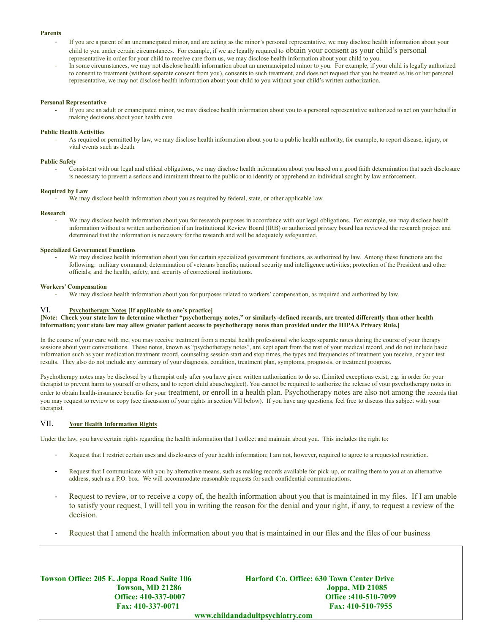#### **Parents**

- If you are a parent of an unemancipated minor, and are acting as the minor's personal representative, we may disclose health information about your child to you under certain circumstances. For example, if we are legally required to obtain your consent as your child's personal representative in order for your child to receive care from us, we may disclose health information about your child to you.
- In some circumstances, we may not disclose health information about an unemancipated minor to you. For example, if your child is legally authorized to consent to treatment (without separate consent from you), consents to such treatment, and does not request that you be treated as his or her personal representative, we may not disclose health information about your child to you without your child's written authorization.

#### **Personal Representative**

- If you are an adult or emancipated minor, we may disclose health information about you to a personal representative authorized to act on your behalf in making decisions about your health care.

## **Public Health Activities**

- As required or permitted by law, we may disclose health information about you to a public health authority, for example, to report disease, injury, or vital events such as death.

## **Public Safety**

- Consistent with our legal and ethical obligations, we may disclose health information about you based on a good faith determination that such disclosure is necessary to prevent a serious and imminent threat to the public or to identify or apprehend an individual sought by law enforcement.

## **Required by Law**

We may disclose health information about you as required by federal, state, or other applicable law.

## **Research**

We may disclose health information about you for research purposes in accordance with our legal obligations. For example, we may disclose health information without a written authorization if an Institutional Review Board (IRB) or authorized privacy board has reviewed the research project and determined that the information is necessary for the research and will be adequately safeguarded.

## **Specialized Government Functions**

We may disclose health information about you for certain specialized government functions, as authorized by law. Among these functions are the following: military command; determination of veterans benefits; national security and intelligence activities; protection of the President and other officials; and the health, safety, and security of correctional institutions.

#### **Workers' Compensation**

We may disclose health information about you for purposes related to workers' compensation, as required and authorized by law.

# VI. **Psychotherapy Notes [If applicable to one's practice]**

## **[Note: Check your state law to determine whether "psychotherapy notes," or similarly-defined records, are treated differently than other health information; your state law may allow greater patient access to psychotherapy notes than provided under the HIPAA Privacy Rule.]**

In the course of your care with me, you may receive treatment from a mental health professional who keeps separate notes during the course of your therapy sessions about your conversations. These notes, known as "psychotherapy notes", are kept apart from the rest of your medical record, and do not include basic information such as your medication treatment record, counseling session start and stop times, the types and frequencies of treatment you receive, or your test results. They also do not include any summary of your diagnosis, condition, treatment plan, symptoms, prognosis, or treatment progress.

Psychotherapy notes may be disclosed by a therapist only after you have given written authorization to do so. (Limited exceptions exist, e.g. in order for your therapist to prevent harm to yourself or others, and to report child abuse/neglect). You cannot be required to authorize the release of your psychotherapy notes in order to obtain health-insurance benefits for your treatment, or enroll in a health plan. Psychotherapy notes are also not among the records that you may request to review or copy (see discussion of your rights in section VII below). If you have any questions, feel free to discuss this subject with your therapist.

# VII. **Your Health Information Rights**

Under the law, you have certain rights regarding the health information that I collect and maintain about you. This includes the right to:

- Request that I restrict certain uses and disclosures of your health information; I am not, however, required to agree to a requested restriction.
- Request that I communicate with you by alternative means, such as making records available for pick-up, or mailing them to you at an alternative address, such as a P.O. box. We will accommodate reasonable requests for such confidential communications.
- Request to review, or to receive a copy of, the health information about you that is maintained in my files. If I am unable to satisfy your request, I will tell you in writing the reason for the denial and your right, if any, to request a review of the decision.
- Request that I amend the health information about you that is maintained in our files and the files of our business

**Towson Office: 205 E. Joppa Road Suite 106 Harford Co. Office: 630 Town Center Drive Towson, MD 21286 Joppa, MD 21085 Office: 410-337-0007 Office :410-510-7099 Fax: 410-337-0071 Fax: 410-510-7955 www.childandadultpsychiatry.com**